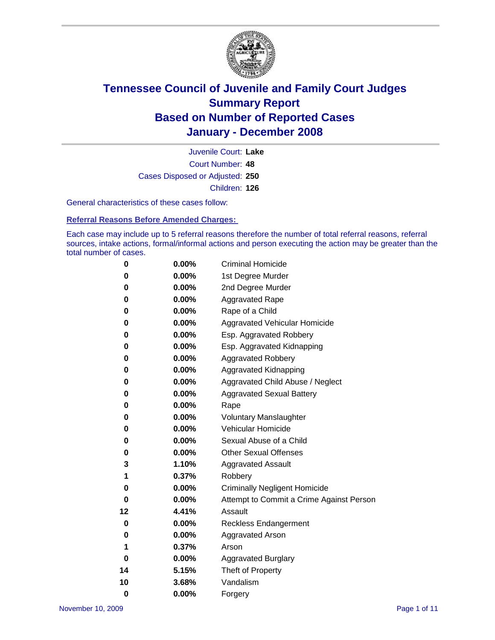

Court Number: **48** Juvenile Court: **Lake** Cases Disposed or Adjusted: **250** Children: **126**

General characteristics of these cases follow:

**Referral Reasons Before Amended Charges:** 

Each case may include up to 5 referral reasons therefore the number of total referral reasons, referral sources, intake actions, formal/informal actions and person executing the action may be greater than the total number of cases.

| 0        | $0.00\%$ | <b>Criminal Homicide</b>                 |
|----------|----------|------------------------------------------|
| 0        | 0.00%    | 1st Degree Murder                        |
| 0        | $0.00\%$ | 2nd Degree Murder                        |
| 0        | 0.00%    | <b>Aggravated Rape</b>                   |
| 0        | 0.00%    | Rape of a Child                          |
| 0        | $0.00\%$ | Aggravated Vehicular Homicide            |
| 0        | 0.00%    | Esp. Aggravated Robbery                  |
| 0        | $0.00\%$ | Esp. Aggravated Kidnapping               |
| 0        | 0.00%    | <b>Aggravated Robbery</b>                |
| 0        | 0.00%    | Aggravated Kidnapping                    |
| 0        | $0.00\%$ | Aggravated Child Abuse / Neglect         |
| 0        | 0.00%    | <b>Aggravated Sexual Battery</b>         |
| 0        | 0.00%    | Rape                                     |
| 0        | 0.00%    | <b>Voluntary Manslaughter</b>            |
| 0        | 0.00%    | Vehicular Homicide                       |
| 0        | $0.00\%$ | Sexual Abuse of a Child                  |
| 0        | 0.00%    | <b>Other Sexual Offenses</b>             |
| 3        | 1.10%    | <b>Aggravated Assault</b>                |
| 1        | 0.37%    | Robbery                                  |
| 0        | 0.00%    | <b>Criminally Negligent Homicide</b>     |
| 0        | 0.00%    | Attempt to Commit a Crime Against Person |
| 12       | 4.41%    | Assault                                  |
| 0        | 0.00%    | <b>Reckless Endangerment</b>             |
| 0        | 0.00%    | <b>Aggravated Arson</b>                  |
| 1        | 0.37%    | Arson                                    |
| 0        | 0.00%    | <b>Aggravated Burglary</b>               |
| 14       | 5.15%    | Theft of Property                        |
| 10       | 3.68%    | Vandalism                                |
| $\bf{0}$ | 0.00%    | Forgery                                  |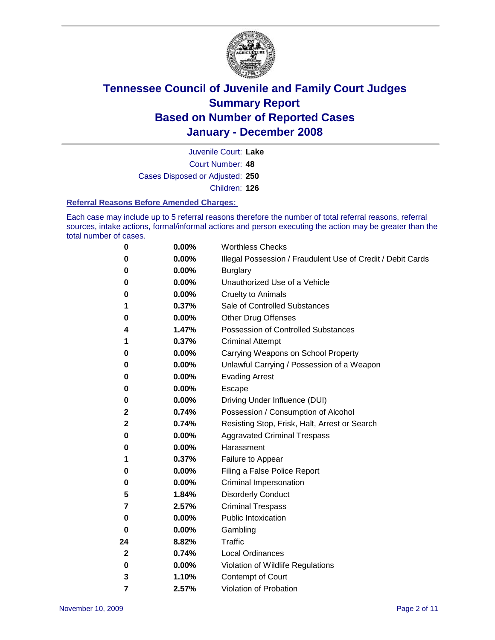

Court Number: **48** Juvenile Court: **Lake** Cases Disposed or Adjusted: **250** Children: **126**

#### **Referral Reasons Before Amended Charges:**

Each case may include up to 5 referral reasons therefore the number of total referral reasons, referral sources, intake actions, formal/informal actions and person executing the action may be greater than the total number of cases.

| 0            | 0.00%    | <b>Worthless Checks</b>                                     |
|--------------|----------|-------------------------------------------------------------|
| 0            | 0.00%    | Illegal Possession / Fraudulent Use of Credit / Debit Cards |
| 0            | 0.00%    | <b>Burglary</b>                                             |
| 0            | $0.00\%$ | Unauthorized Use of a Vehicle                               |
| 0            | 0.00%    | <b>Cruelty to Animals</b>                                   |
| 1            | 0.37%    | Sale of Controlled Substances                               |
| 0            | 0.00%    | Other Drug Offenses                                         |
| 4            | 1.47%    | Possession of Controlled Substances                         |
| 1            | 0.37%    | <b>Criminal Attempt</b>                                     |
| 0            | 0.00%    | Carrying Weapons on School Property                         |
| 0            | 0.00%    | Unlawful Carrying / Possession of a Weapon                  |
| 0            | $0.00\%$ | <b>Evading Arrest</b>                                       |
| 0            | 0.00%    | Escape                                                      |
| 0            | 0.00%    | Driving Under Influence (DUI)                               |
| 2            | 0.74%    | Possession / Consumption of Alcohol                         |
| 2            | 0.74%    | Resisting Stop, Frisk, Halt, Arrest or Search               |
| 0            | 0.00%    | <b>Aggravated Criminal Trespass</b>                         |
| 0            | 0.00%    | Harassment                                                  |
| 1            | 0.37%    | Failure to Appear                                           |
| 0            | 0.00%    | Filing a False Police Report                                |
| 0            | $0.00\%$ | Criminal Impersonation                                      |
| 5            | 1.84%    | <b>Disorderly Conduct</b>                                   |
| 7            | 2.57%    | <b>Criminal Trespass</b>                                    |
| 0            | 0.00%    | <b>Public Intoxication</b>                                  |
| 0            | $0.00\%$ | Gambling                                                    |
| 24           | 8.82%    | <b>Traffic</b>                                              |
| $\mathbf{2}$ | 0.74%    | <b>Local Ordinances</b>                                     |
| 0            | 0.00%    | Violation of Wildlife Regulations                           |
| 3            | 1.10%    | Contempt of Court                                           |
| 7            | 2.57%    | Violation of Probation                                      |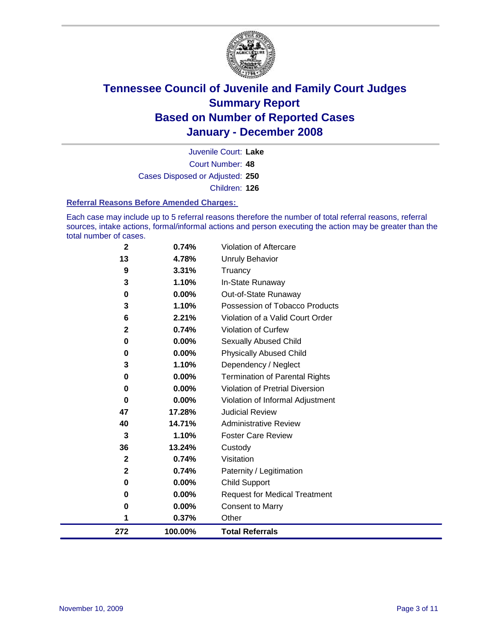

Court Number: **48** Juvenile Court: **Lake** Cases Disposed or Adjusted: **250** Children: **126**

#### **Referral Reasons Before Amended Charges:**

Each case may include up to 5 referral reasons therefore the number of total referral reasons, referral sources, intake actions, formal/informal actions and person executing the action may be greater than the total number of cases.

| $\mathbf 2$    | 0.74%    | Violation of Aftercare                 |
|----------------|----------|----------------------------------------|
| 13             | 4.78%    | Unruly Behavior                        |
| 9              | 3.31%    | Truancy                                |
| 3              | 1.10%    | In-State Runaway                       |
| 0              | 0.00%    | Out-of-State Runaway                   |
| 3              | 1.10%    | Possession of Tobacco Products         |
| 6              | 2.21%    | Violation of a Valid Court Order       |
| $\overline{2}$ | 0.74%    | Violation of Curfew                    |
| 0              | 0.00%    | <b>Sexually Abused Child</b>           |
| 0              | 0.00%    | <b>Physically Abused Child</b>         |
| 3              | 1.10%    | Dependency / Neglect                   |
| 0              | $0.00\%$ | <b>Termination of Parental Rights</b>  |
| 0              | 0.00%    | <b>Violation of Pretrial Diversion</b> |
| 0              | 0.00%    | Violation of Informal Adjustment       |
| 47             | 17.28%   | <b>Judicial Review</b>                 |
| 40             | 14.71%   | <b>Administrative Review</b>           |
| 3              | 1.10%    | <b>Foster Care Review</b>              |
| 36             | 13.24%   | Custody                                |
| $\mathbf{2}$   | 0.74%    | Visitation                             |
| 2              | 0.74%    | Paternity / Legitimation               |
| 0              | 0.00%    | <b>Child Support</b>                   |
| 0              | 0.00%    | <b>Request for Medical Treatment</b>   |
| 0              | 0.00%    | <b>Consent to Marry</b>                |
| 1              | 0.37%    | Other                                  |
| 272            | 100.00%  | <b>Total Referrals</b>                 |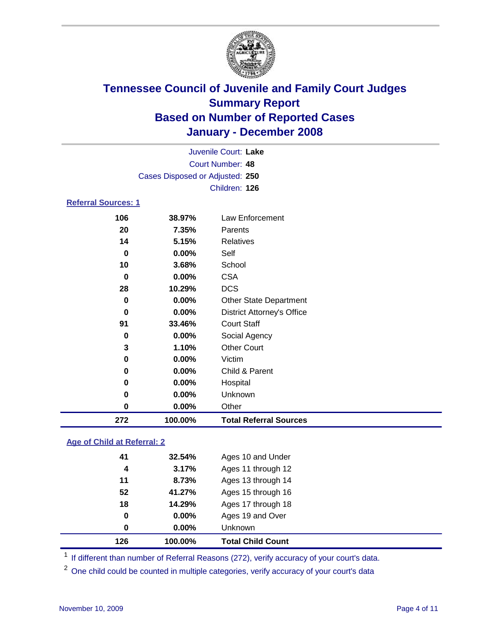

|                                 | Juvenile Court: Lake |                                   |  |  |  |
|---------------------------------|----------------------|-----------------------------------|--|--|--|
| Court Number: 48                |                      |                                   |  |  |  |
| Cases Disposed or Adjusted: 250 |                      |                                   |  |  |  |
|                                 |                      | Children: 126                     |  |  |  |
| <b>Referral Sources: 1</b>      |                      |                                   |  |  |  |
| 106                             | 38.97%               | <b>Law Enforcement</b>            |  |  |  |
| 20                              | 7.35%                | Parents                           |  |  |  |
| 14                              | 5.15%                | <b>Relatives</b>                  |  |  |  |
| $\bf{0}$                        | 0.00%                | Self                              |  |  |  |
| 10                              | 3.68%                | School                            |  |  |  |
| $\bf{0}$                        | 0.00%                | <b>CSA</b>                        |  |  |  |
| 28                              | 10.29%               | <b>DCS</b>                        |  |  |  |
| $\bf{0}$                        | 0.00%                | <b>Other State Department</b>     |  |  |  |
| 0                               | $0.00\%$             | <b>District Attorney's Office</b> |  |  |  |
| 91                              | 33.46%               | <b>Court Staff</b>                |  |  |  |
| $\bf{0}$                        | $0.00\%$             | Social Agency                     |  |  |  |
| 3                               | 1.10%                | <b>Other Court</b>                |  |  |  |
| 0                               | $0.00\%$             | Victim                            |  |  |  |
| 0                               | $0.00\%$             | Child & Parent                    |  |  |  |
| 0                               | $0.00\%$             | Hospital                          |  |  |  |
| 0                               | 0.00%                | Unknown                           |  |  |  |
| 0                               | 0.00%                | Other                             |  |  |  |
| 272                             | 100.00%              | <b>Total Referral Sources</b>     |  |  |  |

### **Age of Child at Referral: 2**

| 0<br>0 | $0.00\%$<br>$0.00\%$ | Ages 19 and Over<br><b>Unknown</b> |  |
|--------|----------------------|------------------------------------|--|
|        |                      |                                    |  |
|        |                      |                                    |  |
| 18     | 14.29%               | Ages 17 through 18                 |  |
| 52     | 41.27%               | Ages 15 through 16                 |  |
| 11     | 8.73%                | Ages 13 through 14                 |  |
| 4      | 3.17%                | Ages 11 through 12                 |  |
| 41     | 32.54%               | Ages 10 and Under                  |  |
|        |                      |                                    |  |

<sup>1</sup> If different than number of Referral Reasons (272), verify accuracy of your court's data.

<sup>2</sup> One child could be counted in multiple categories, verify accuracy of your court's data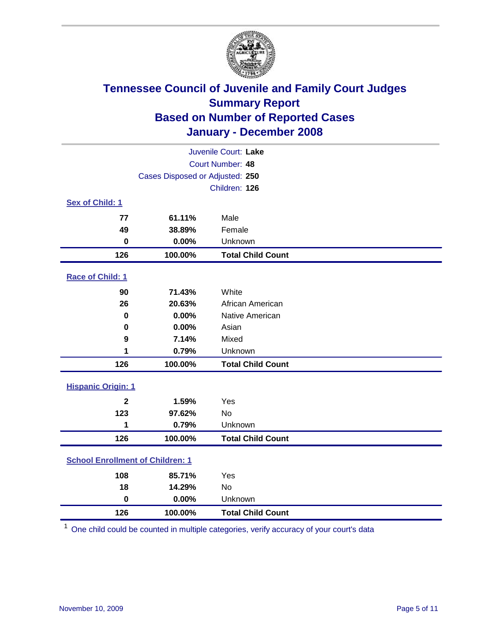

| Juvenile Court: Lake                    |                                 |                          |  |  |  |
|-----------------------------------------|---------------------------------|--------------------------|--|--|--|
|                                         | Court Number: 48                |                          |  |  |  |
|                                         | Cases Disposed or Adjusted: 250 |                          |  |  |  |
|                                         |                                 | Children: 126            |  |  |  |
| Sex of Child: 1                         |                                 |                          |  |  |  |
| 77                                      | 61.11%                          | Male                     |  |  |  |
| 49                                      | 38.89%                          | Female                   |  |  |  |
| $\bf{0}$                                | 0.00%                           | Unknown                  |  |  |  |
| 126                                     | 100.00%                         | <b>Total Child Count</b> |  |  |  |
| <b>Race of Child: 1</b>                 |                                 |                          |  |  |  |
| 90                                      | 71.43%                          | White                    |  |  |  |
| 26                                      | 20.63%                          | African American         |  |  |  |
| 0                                       | 0.00%                           | Native American          |  |  |  |
| 0                                       | 0.00%                           | Asian                    |  |  |  |
| 9                                       | 7.14%                           | Mixed                    |  |  |  |
| 1                                       | 0.79%                           | Unknown                  |  |  |  |
| 126                                     | 100.00%                         | <b>Total Child Count</b> |  |  |  |
| <b>Hispanic Origin: 1</b>               |                                 |                          |  |  |  |
| $\overline{2}$                          | 1.59%                           | Yes                      |  |  |  |
| 123                                     | 97.62%                          | <b>No</b>                |  |  |  |
| 1                                       | 0.79%                           | Unknown                  |  |  |  |
| 126                                     | 100.00%                         | <b>Total Child Count</b> |  |  |  |
| <b>School Enrollment of Children: 1</b> |                                 |                          |  |  |  |
| 108                                     | 85.71%                          | Yes                      |  |  |  |
| 18                                      | 14.29%                          | No                       |  |  |  |
| $\bf{0}$                                | 0.00%                           | Unknown                  |  |  |  |
| 126                                     | 100.00%                         | <b>Total Child Count</b> |  |  |  |

One child could be counted in multiple categories, verify accuracy of your court's data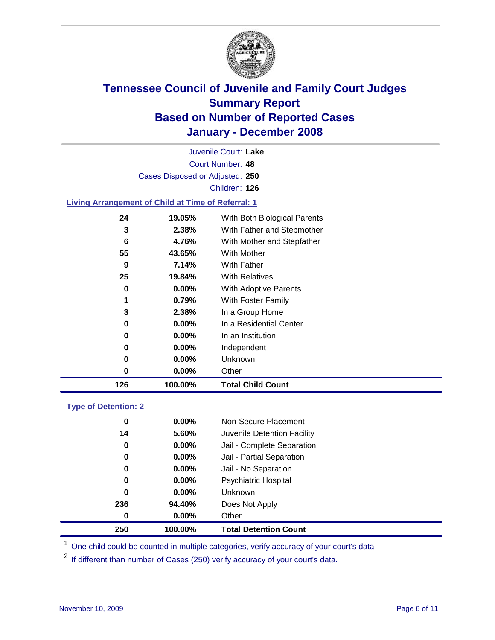

Court Number: **48** Juvenile Court: **Lake** Cases Disposed or Adjusted: **250** Children: **126**

#### **Living Arrangement of Child at Time of Referral: 1**

| 126 | 100.00%  | <b>Total Child Count</b>     |
|-----|----------|------------------------------|
| 0   | $0.00\%$ | Other                        |
| 0   | $0.00\%$ | Unknown                      |
| 0   | $0.00\%$ | Independent                  |
| 0   | $0.00\%$ | In an Institution            |
| 0   | $0.00\%$ | In a Residential Center      |
| 3   | 2.38%    | In a Group Home              |
| 1   | 0.79%    | With Foster Family           |
| 0   | $0.00\%$ | With Adoptive Parents        |
| 25  | 19.84%   | <b>With Relatives</b>        |
| 9   | 7.14%    | With Father                  |
| 55  | 43.65%   | With Mother                  |
| 6   | 4.76%    | With Mother and Stepfather   |
| 3   | 2.38%    | With Father and Stepmother   |
| 24  | 19.05%   | With Both Biological Parents |
|     |          |                              |

#### **Type of Detention: 2**

| 250 |    | 100.00%  | <b>Total Detention Count</b> |
|-----|----|----------|------------------------------|
|     | 0  | 0.00%    | Other                        |
| 236 |    | 94.40%   | Does Not Apply               |
|     | 0  | 0.00%    | <b>Unknown</b>               |
|     | 0  | $0.00\%$ | <b>Psychiatric Hospital</b>  |
|     | 0  | 0.00%    | Jail - No Separation         |
|     | 0  | $0.00\%$ | Jail - Partial Separation    |
|     | 0  | $0.00\%$ | Jail - Complete Separation   |
|     | 14 | 5.60%    | Juvenile Detention Facility  |
|     | 0  | 0.00%    | Non-Secure Placement         |
|     |    |          |                              |

<sup>1</sup> One child could be counted in multiple categories, verify accuracy of your court's data

<sup>2</sup> If different than number of Cases (250) verify accuracy of your court's data.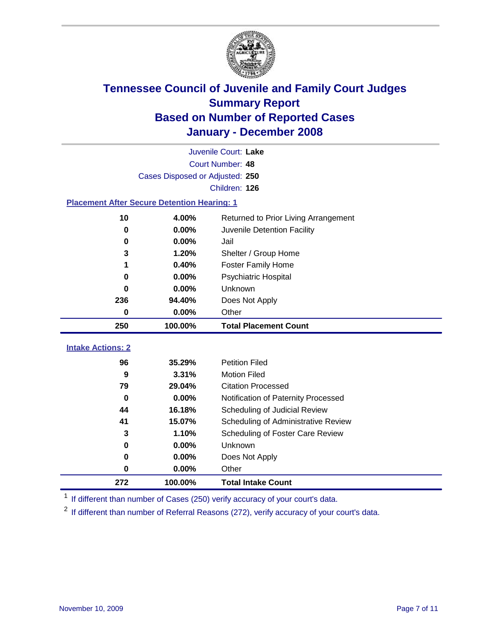

|                                                    | Juvenile Court: Lake                          |                                     |  |  |  |
|----------------------------------------------------|-----------------------------------------------|-------------------------------------|--|--|--|
|                                                    | Court Number: 48                              |                                     |  |  |  |
|                                                    | Cases Disposed or Adjusted: 250               |                                     |  |  |  |
|                                                    |                                               | Children: 126                       |  |  |  |
| <b>Placement After Secure Detention Hearing: 1</b> |                                               |                                     |  |  |  |
| 10                                                 | 4.00%<br>Returned to Prior Living Arrangement |                                     |  |  |  |
| $\bf{0}$                                           | 0.00%                                         | Juvenile Detention Facility         |  |  |  |
| 0                                                  | 0.00%                                         | Jail                                |  |  |  |
| 3                                                  | 1.20%                                         | Shelter / Group Home                |  |  |  |
| 1                                                  | 0.40%                                         | <b>Foster Family Home</b>           |  |  |  |
| $\bf{0}$                                           | 0.00%                                         | Psychiatric Hospital                |  |  |  |
| 0                                                  | 0.00%                                         | Unknown                             |  |  |  |
| 236                                                | 94.40%                                        | Does Not Apply                      |  |  |  |
| $\bf{0}$                                           | 0.00%                                         | Other                               |  |  |  |
| 250                                                | 100.00%                                       | <b>Total Placement Count</b>        |  |  |  |
| <b>Intake Actions: 2</b>                           |                                               |                                     |  |  |  |
| 96                                                 | 35.29%                                        | <b>Petition Filed</b>               |  |  |  |
| 9                                                  | 3.31%                                         | <b>Motion Filed</b>                 |  |  |  |
| 79                                                 | 29.04%                                        | <b>Citation Processed</b>           |  |  |  |
| $\bf{0}$                                           | 0.00%                                         | Notification of Paternity Processed |  |  |  |
| 44                                                 | 16.18%                                        | Scheduling of Judicial Review       |  |  |  |
| 41                                                 | 15.07%                                        | Scheduling of Administrative Review |  |  |  |
| 3                                                  | 1.10%                                         | Scheduling of Foster Care Review    |  |  |  |
| 0                                                  | 0.00%                                         | Unknown                             |  |  |  |
| $\bf{0}$                                           | 0.00%                                         | Does Not Apply                      |  |  |  |
| 0                                                  | 0.00%                                         | Other                               |  |  |  |
| 272                                                | 100.00%                                       | <b>Total Intake Count</b>           |  |  |  |
|                                                    |                                               |                                     |  |  |  |

<sup>1</sup> If different than number of Cases (250) verify accuracy of your court's data.

<sup>2</sup> If different than number of Referral Reasons (272), verify accuracy of your court's data.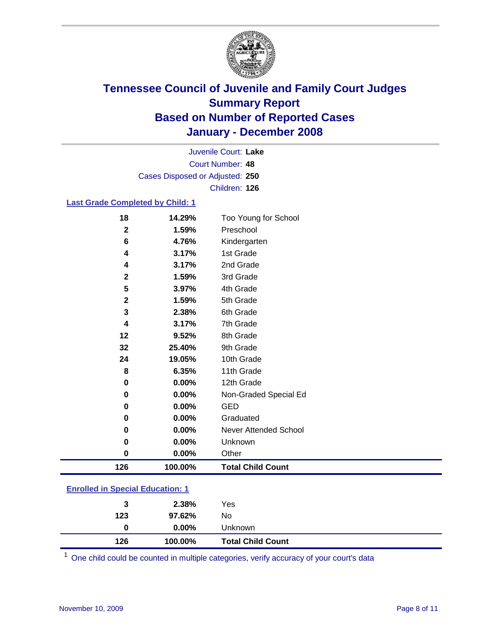

Court Number: **48** Juvenile Court: **Lake** Cases Disposed or Adjusted: **250** Children: **126**

#### **Last Grade Completed by Child: 1**

| 126          | 100.00%  | <b>Total Child Count</b> |
|--------------|----------|--------------------------|
| 0            | 0.00%    | Other                    |
| 0            | 0.00%    | Unknown                  |
| 0            | $0.00\%$ | Never Attended School    |
| 0            | 0.00%    | Graduated                |
| 0            | 0.00%    | GED                      |
| 0            | 0.00%    | Non-Graded Special Ed    |
| 0            | 0.00%    | 12th Grade               |
| 8            | 6.35%    | 11th Grade               |
| 24           | 19.05%   | 10th Grade               |
| 32           | 25.40%   | 9th Grade                |
| 12           | 9.52%    | 8th Grade                |
| 4            | 3.17%    | 7th Grade                |
| 3            | 2.38%    | 6th Grade                |
| $\mathbf 2$  | 1.59%    | 5th Grade                |
| 5            | 3.97%    | 4th Grade                |
| $\mathbf{2}$ | 1.59%    | 3rd Grade                |
| 4            | 3.17%    | 2nd Grade                |
| 4            | 3.17%    | 1st Grade                |
| 6            | 4.76%    | Kindergarten             |
| $\mathbf 2$  | 1.59%    | Preschool                |
| 18           | 14.29%   | Too Young for School     |

### **Enrolled in Special Education: 1**

| 126 | 100.00%  | <b>Total Child Count</b> |  |
|-----|----------|--------------------------|--|
| 0   | $0.00\%$ | <b>Unknown</b>           |  |
| 123 | 97.62%   | No.                      |  |
| 3   | 2.38%    | Yes                      |  |

<sup>1</sup> One child could be counted in multiple categories, verify accuracy of your court's data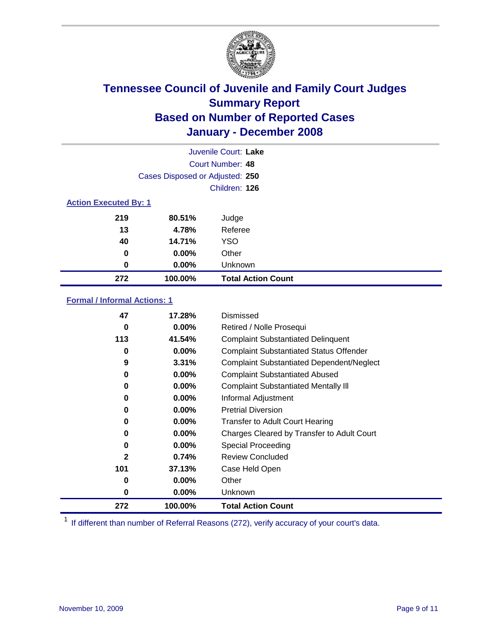

| Juvenile Court: Lake         |                                 |                           |  |  |  |
|------------------------------|---------------------------------|---------------------------|--|--|--|
|                              | Court Number: 48                |                           |  |  |  |
|                              | Cases Disposed or Adjusted: 250 |                           |  |  |  |
|                              |                                 | Children: 126             |  |  |  |
| <b>Action Executed By: 1</b> |                                 |                           |  |  |  |
| 219                          | 80.51%                          | Judge                     |  |  |  |
| 13                           | 4.78%                           | Referee                   |  |  |  |
| 40                           | 14.71%                          | <b>YSO</b>                |  |  |  |
| 0                            | $0.00\%$                        | Other                     |  |  |  |
| 0                            | $0.00\%$                        | Unknown                   |  |  |  |
| 272                          | 100.00%                         | <b>Total Action Count</b> |  |  |  |

### **Formal / Informal Actions: 1**

| 47           | 17.28%   | Dismissed                                        |
|--------------|----------|--------------------------------------------------|
| 0            | $0.00\%$ | Retired / Nolle Prosequi                         |
| 113          | 41.54%   | <b>Complaint Substantiated Delinquent</b>        |
| 0            | $0.00\%$ | <b>Complaint Substantiated Status Offender</b>   |
| 9            | 3.31%    | <b>Complaint Substantiated Dependent/Neglect</b> |
| 0            | $0.00\%$ | <b>Complaint Substantiated Abused</b>            |
| 0            | $0.00\%$ | <b>Complaint Substantiated Mentally III</b>      |
| 0            | $0.00\%$ | Informal Adjustment                              |
| 0            | $0.00\%$ | <b>Pretrial Diversion</b>                        |
| 0            | $0.00\%$ | <b>Transfer to Adult Court Hearing</b>           |
| 0            | $0.00\%$ | Charges Cleared by Transfer to Adult Court       |
| 0            | $0.00\%$ | Special Proceeding                               |
| $\mathbf{2}$ | 0.74%    | <b>Review Concluded</b>                          |
| 101          | 37.13%   | Case Held Open                                   |
| 0            | $0.00\%$ | Other                                            |
| 0            | $0.00\%$ | <b>Unknown</b>                                   |
| 272          | 100.00%  | <b>Total Action Count</b>                        |

<sup>1</sup> If different than number of Referral Reasons (272), verify accuracy of your court's data.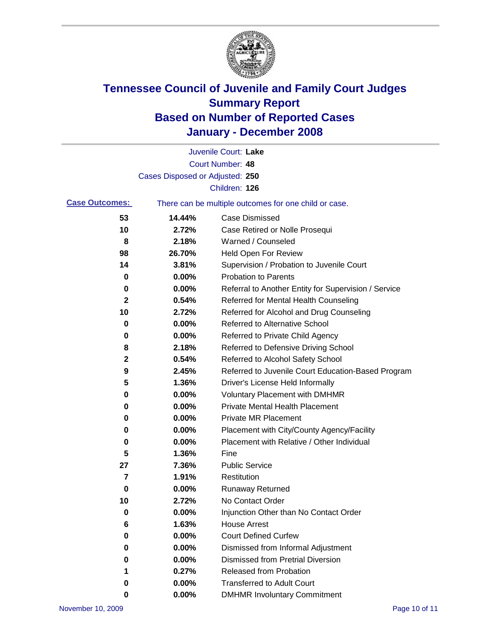

|                       |                                 | Juvenile Court: Lake                                  |
|-----------------------|---------------------------------|-------------------------------------------------------|
|                       |                                 | Court Number: 48                                      |
|                       | Cases Disposed or Adjusted: 250 |                                                       |
|                       |                                 | Children: 126                                         |
| <b>Case Outcomes:</b> |                                 | There can be multiple outcomes for one child or case. |
| 53                    | 14.44%                          | <b>Case Dismissed</b>                                 |
| 10                    | 2.72%                           | Case Retired or Nolle Prosequi                        |
| 8                     | 2.18%                           | Warned / Counseled                                    |
| 98                    | 26.70%                          | <b>Held Open For Review</b>                           |
| 14                    | 3.81%                           | Supervision / Probation to Juvenile Court             |
| 0                     | 0.00%                           | <b>Probation to Parents</b>                           |
| 0                     | 0.00%                           | Referral to Another Entity for Supervision / Service  |
| 2                     | 0.54%                           | Referred for Mental Health Counseling                 |
| 10                    | 2.72%                           | Referred for Alcohol and Drug Counseling              |
| 0                     | 0.00%                           | <b>Referred to Alternative School</b>                 |
| 0                     | 0.00%                           | Referred to Private Child Agency                      |
| 8                     | 2.18%                           | Referred to Defensive Driving School                  |
| $\mathbf 2$           | 0.54%                           | Referred to Alcohol Safety School                     |
| 9                     | 2.45%                           | Referred to Juvenile Court Education-Based Program    |
| 5                     | 1.36%                           | Driver's License Held Informally                      |
| 0                     | 0.00%                           | <b>Voluntary Placement with DMHMR</b>                 |
| 0                     | 0.00%                           | <b>Private Mental Health Placement</b>                |
| 0                     | 0.00%                           | <b>Private MR Placement</b>                           |
| 0                     | 0.00%                           | Placement with City/County Agency/Facility            |
| 0                     | 0.00%                           | Placement with Relative / Other Individual            |
| 5                     | 1.36%                           | Fine                                                  |
| 27                    | 7.36%                           | <b>Public Service</b>                                 |
| 7                     | 1.91%                           | Restitution                                           |
| 0                     | 0.00%                           | <b>Runaway Returned</b>                               |
| 10                    | 2.72%                           | No Contact Order                                      |
| 0                     | 0.00%                           | Injunction Other than No Contact Order                |
| 6                     | 1.63%                           | <b>House Arrest</b>                                   |
| 0                     | 0.00%                           | <b>Court Defined Curfew</b>                           |
| 0                     | 0.00%                           | Dismissed from Informal Adjustment                    |
| 0                     | 0.00%                           | <b>Dismissed from Pretrial Diversion</b>              |
| 1                     | 0.27%                           | Released from Probation                               |
| 0                     | 0.00%                           | <b>Transferred to Adult Court</b>                     |
| 0                     | $0.00\%$                        | <b>DMHMR Involuntary Commitment</b>                   |